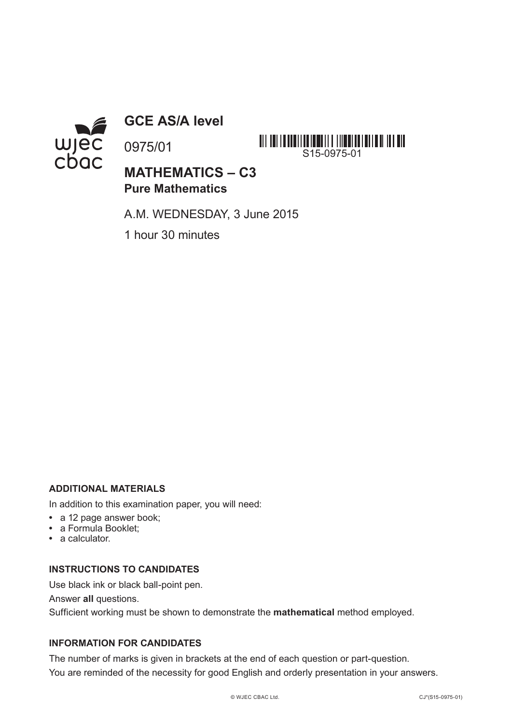

**GCE AS/A level**

0975/01

**MATHEMATICS – C3 Pure Mathematics**

A.M. WEDNESDAY, 3 June 2015

S15-0975-01

1 hour 30 minutes

## **ADDITIONAL MATERIALS**

In addition to this examination paper, you will need:

- **•** a 12 page answer book;
- **•** a Formula Booklet;
- **•** a calculator.

## **INSTRUCTIONS TO CANDIDATES**

Use black ink or black ball-point pen.

Answer **all** questions.

Sufficient working must be shown to demonstrate the **mathematical** method employed.

## **INFORMATION FOR CANDIDATES**

The number of marks is given in brackets at the end of each question or part-question. You are reminded of the necessity for good English and orderly presentation in your answers.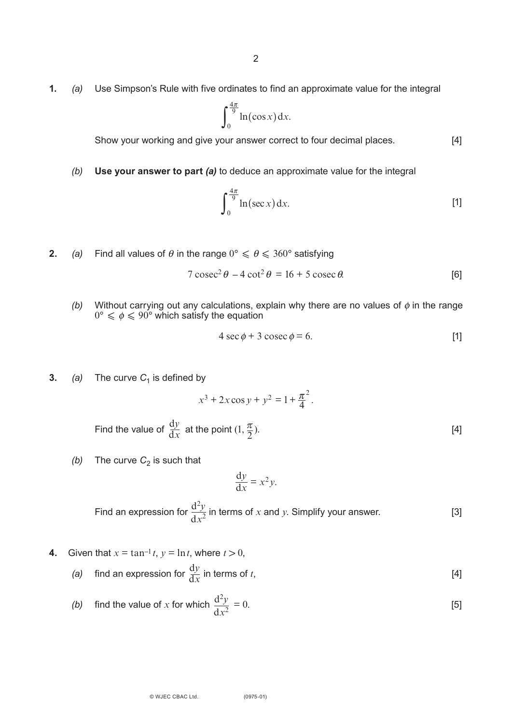**1.** *(a)* Use Simpson's Rule with five ordinates to find an approximate value for the integral

$$
\int_0^{\frac{4\pi}{9}} \ln(\cos x) \, \mathrm{d}x.
$$

Show your working and give your answer correct to four decimal places. [4]

*(b)* **Use your answer to part** *(a)* to deduce an approximate value for the integral

$$
\int_0^{\frac{4\pi}{9}} \ln(\sec x) \, \mathrm{d}x. \tag{1}
$$

**2.** *(a)* Find all values of  $\theta$  in the range  $0^{\circ} \le \theta \le 360^{\circ}$  satisfying

$$
7 \csc^2 \theta - 4 \cot^2 \theta = 16 + 5 \csc \theta.
$$
 [6]

*(b)* Without carrying out any calculations, explain why there are no values of  $\phi$  in the range  $0^{\circ} \leqslant \phi \leqslant 90^{\circ}$  which satisfy the equation

$$
4 \sec \phi + 3 \csc \phi = 6. \tag{1}
$$

**3.** *(a)* The curve  $C_1$  is defined by

$$
x^3 + 2x\cos y + y^2 = 1 + \frac{\pi^2}{4}.
$$

Find the value of 
$$
\frac{dy}{dx}
$$
 at the point  $(1, \frac{\pi}{2})$ . [4]

*(b)* The curve  $C_2$  is such that

$$
\frac{\mathrm{d}y}{\mathrm{d}x} = x^2 y.
$$

Find an expression for 
$$
\frac{d^2y}{dx^2}
$$
 in terms of x and y. Simplify your answer. [3]

- **4.** Given that  $x = \tan^{-1} t$ ,  $y = \ln t$ , where  $t > 0$ ,
	- *(a)* find an expression for  $\frac{dy}{dx}$  in terms of *t*, [4]  $dx$

(b) find the value of x for which 
$$
\frac{d^2y}{dx^2} = 0.
$$
 [5]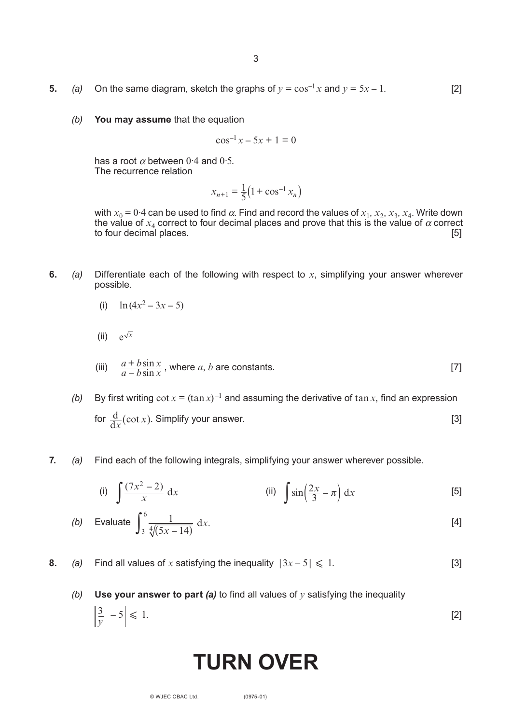- **5.** *(a)* On the same diagram, sketch the graphs of  $y = \cos^{-1} x$  and  $y = 5x 1$ . [2]
	- *(b)* **You may assume** that the equation

$$
\cos^{-1} x - 5x + 1 = 0
$$

has a root  $\alpha$  between 0.4 and 0.5. The recurrence relation

$$
x_{n+1} = \frac{1}{5} \left( 1 + \cos^{-1} x_n \right)
$$

with  $x_0 = 0.4$  can be used to find  $\alpha$ . Find and record the values of  $x_1, x_2, x_3, x_4$ . Write down the value of  $x_4$  correct to four decimal places and prove that this is the value of  $\alpha$  correct to four decimal places. [5]

**6.** *(a)* Differentiate each of the following with respect to *x*, simplifying your answer wherever possible.

(i) 
$$
\ln(4x^2 - 3x - 5)
$$

(ii)  $e^{\sqrt{x}}$ 

*y*

(iii) 
$$
\frac{a + b \sin x}{a - b \sin x}
$$
, where *a*, *b* are constants. [7]

- *(b)* By first writing  $\cot x = (\tan x)^{-1}$  and assuming the derivative of  $\tan x$ , find an expression for  $\frac{d}{dx}(\cot x)$ . Simplify your answer. [3]
- **7.** *(a)* Find each of the following integrals, simplifying your answer wherever possible.

(i) 
$$
\int \frac{(7x^2 - 2)}{x} dx
$$
 (ii)  $\int \sin(\frac{2x}{3} - \pi) dx$  [5]

(b) Evaluate 
$$
\int_{3}^{6} \frac{1}{\sqrt[4]{(5x-14)}} dx
$$
. [4]

**8.** *(a)* Find all values of *x* satisfying the inequality  $|3x - 5| \le 1$ . [3]

## *(b)* **Use your answer to part** *(a)* to find all values of *y* satisfying the inequality  $\left|\frac{3}{2} - 5\right| \leq 1.$  [2]

# **TURN OVER**